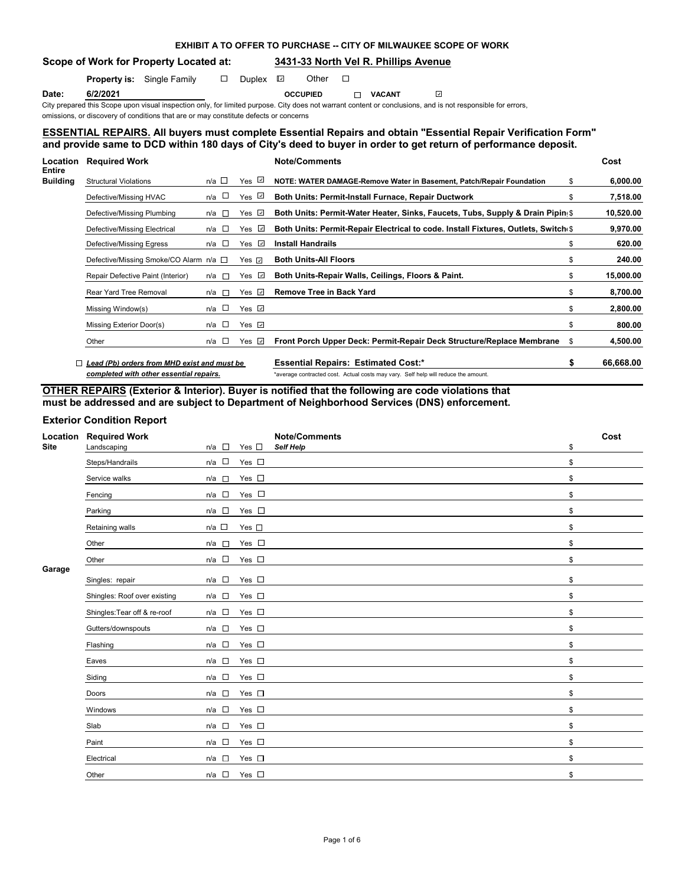# **Scope of Work for Property Located at: 3431-33 North Vel R. Phillips Avenue**

**Property is:** Single Family  $\Box$  Duplex  $\Box$  Other  $\Box$ 

**Date: 6/2/2021 OCCUPIED VACANT**  $\omega$ 

**EXHIBIT A TO OFFER TO PURCHASE -- CITY OF MILWAUKEE SCOPE OF WORK**

City prepared this Scope upon visual inspection only, for limited purpose. City does not warrant content or conclusions, and is not responsible for errors, omissions, or discovery of conditions that are or may constitute defects or concerns

# **ESSENTIAL REPAIRS. All buyers must complete Essential Repairs and obtain "Essential Repair Verification Form" and provide same to DCD within 180 days of City's deed to buyer in order to get return of performance deposit.**

| Location<br>Entire | <b>Required Work</b>                        |                       |                 | <b>Note/Comments</b>                                                               | Cost      |
|--------------------|---------------------------------------------|-----------------------|-----------------|------------------------------------------------------------------------------------|-----------|
| Building           | <b>Structural Violations</b>                | n/a □                 | Yes $\vee$      | NOTE: WATER DAMAGE-Remove Water in Basement, Patch/Repair Foundation<br>\$         | 6,000.00  |
|                    | Defective/Missing HVAC                      | n/a □                 | Yes $\sqrt{2}$  | <b>Both Units: Permit-Install Furnace, Repair Ductwork</b><br>\$                   | 7,518.00  |
|                    | Defective/Missing Plumbing                  | n/a l⊡                | Yes <i>⊡</i>    | Both Units: Permit-Water Heater, Sinks, Faucets, Tubs, Supply & Drain Pipin(\$)    | 10,520.00 |
|                    | Defective/Missing Electrical                | n/a $\square$         | $\omega$<br>Yes | Both Units: Permit-Repair Electrical to code. Install Fixtures, Outlets, Switch(\$ | 9,970.00  |
|                    | Defective/Missing Egress                    | $n/a$ $\Box$          | Yes $\sqrt{ }$  | <b>Install Handrails</b><br>\$                                                     | 620.00    |
|                    | Defective/Missing Smoke/CO Alarm n/a □      |                       | Yes ⊡           | <b>Both Units-All Floors</b><br>\$                                                 | 240.00    |
|                    | Repair Defective Paint (Interior)           | n/a l⊡                | Yes $\sqrt{2}$  | Both Units-Repair Walls, Ceilings, Floors & Paint.<br>\$                           | 15,000.00 |
|                    | Rear Yard Tree Removal                      | n/a<br>$\mathbb{R}^n$ | Yes $\Box$      | <b>Remove Tree in Back Yard</b><br>\$                                              | 8,700.00  |
|                    | Missing Window(s)                           | n/a □                 | Yes $\Box$      | \$                                                                                 | 2,800.00  |
|                    | Missing Exterior Door(s)                    | n/a □                 | Yes $\sqrt{ }$  | \$                                                                                 | 800.00    |
|                    | Other                                       | n/a □                 | Yes $\sqrt{ }$  | Front Porch Upper Deck: Permit-Repair Deck Structure/Replace Membrane<br>\$.       | 4,500.00  |
|                    | Lead (Pb) orders from MHD exist and must be |                       |                 | <b>Essential Repairs: Estimated Cost:*</b><br>S                                    | 66.668.00 |

*completed with other essential repairs.* \*average contracted cost. Actual costs may vary. Self help will reduce the amount.

# **OTHER REPAIRS (Exterior & Interior). Buyer is notified that the following are code violations that must be addressed and are subject to Department of Neighborhood Services (DNS) enforcement.**

# **Exterior Condition Report**

| Location<br><b>Site</b> | <b>Required Work</b><br>Landscaping | $n/a$ $\Box$    | Yes $\square$ | <b>Note/Comments</b><br>Self Help | \$<br>Cost |
|-------------------------|-------------------------------------|-----------------|---------------|-----------------------------------|------------|
|                         | Steps/Handrails                     | $n/a$ $\square$ | Yes $\square$ |                                   | \$         |
|                         | Service walks                       | $n/a$ $\square$ | Yes $\square$ |                                   | \$         |
|                         | Fencing                             | $n/a$ $\square$ | Yes $\square$ |                                   | \$         |
|                         | Parking                             | $n/a$ $\square$ | Yes $\square$ |                                   | \$         |
|                         | Retaining walls                     | $n/a$ $\square$ | Yes $\square$ |                                   | \$         |
|                         | Other                               | $n/a$ $\square$ | Yes $\square$ |                                   | \$         |
|                         | Other                               | n/a             | Yes $\square$ |                                   | \$         |
| Garage                  | Singles: repair                     | $n/a$ $\square$ | Yes $\square$ |                                   | \$         |
|                         | Shingles: Roof over existing        | n/a             | Yes $\square$ |                                   | \$         |
|                         | Shingles: Tear off & re-roof        | $n/a$ $\square$ | Yes $\square$ |                                   | \$         |
|                         | Gutters/downspouts                  | $n/a$ $\square$ | Yes $\square$ |                                   | \$         |
|                         | Flashing                            | n/a             | Yes $\square$ |                                   | \$         |
|                         | Eaves                               | $n/a$ $\square$ | Yes $\square$ |                                   | \$         |
|                         | Siding                              | $n/a$ $\square$ | Yes $\square$ |                                   | \$         |
|                         | Doors                               | n/a             | Yes $\square$ |                                   | \$         |
|                         | Windows                             | $n/a$ $\square$ | Yes $\square$ |                                   | \$         |
|                         | Slab                                | $n/a$ $\square$ | Yes $\square$ |                                   | \$         |
|                         | Paint                               | $n/a$ $\square$ | Yes $\square$ |                                   | \$         |
|                         | Electrical                          | $n/a$ $\square$ | Yes $\square$ |                                   | \$         |
|                         | Other                               | $n/a$ $\square$ | Yes $\square$ |                                   | \$         |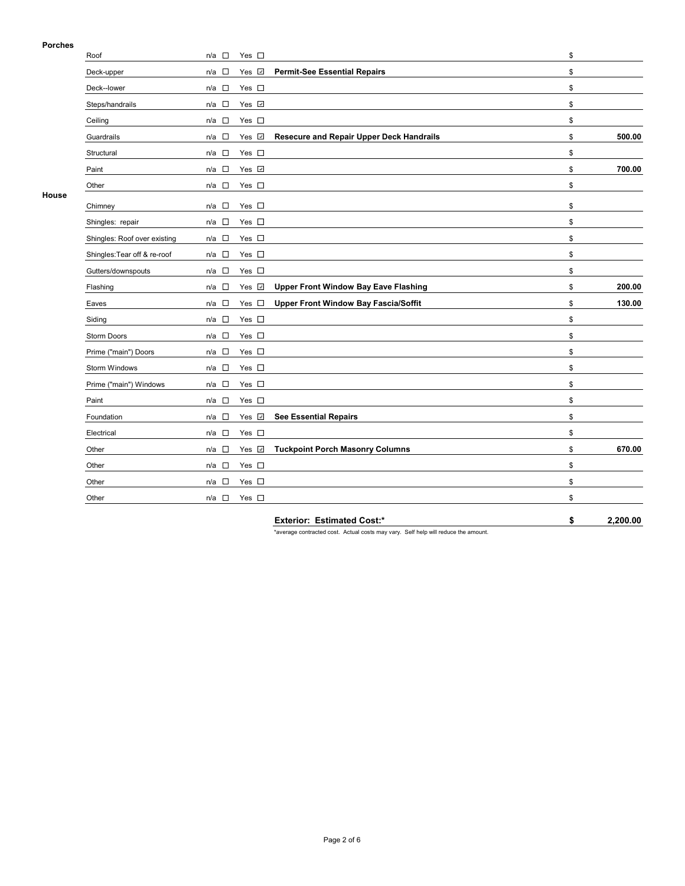# **Porches**

| Porches      |                              |                 |               |                                                 |              |
|--------------|------------------------------|-----------------|---------------|-------------------------------------------------|--------------|
|              | Roof                         | $n/a$ $\square$ | Yes $\square$ |                                                 | \$           |
|              | Deck-upper                   | $n/a$ $\square$ | Yes V         | <b>Permit-See Essential Repairs</b>             | \$           |
|              | Deck--lower                  | $n/a$ $\square$ | Yes $\square$ |                                                 | \$           |
|              | Steps/handrails              | $n/a$ $\square$ | Yes v         |                                                 | \$           |
|              | Ceiling                      | $n/a$ $\square$ | Yes $\square$ |                                                 | \$           |
|              | Guardrails                   | $n/a$ $\square$ | Yes v         | <b>Resecure and Repair Upper Deck Handrails</b> | \$<br>500.00 |
|              | Structural                   | $n/a$ $\square$ | Yes $\square$ |                                                 | \$           |
|              | Paint                        | $n/a$ $\square$ | Yes Z         |                                                 | \$<br>700.00 |
|              | Other                        | $n/a$ $\square$ | Yes $\square$ |                                                 | \$           |
| <b>House</b> | Chimney                      | $n/a$ $\square$ | Yes $\square$ |                                                 | \$           |
|              | Shingles: repair             | $n/a$ $\square$ | Yes $\square$ |                                                 | \$           |
|              | Shingles: Roof over existing | $n/a$ $\Box$    | Yes $\square$ |                                                 | \$           |
|              | Shingles: Tear off & re-roof | $n/a$ $\square$ | Yes $\square$ |                                                 | \$           |
|              | Gutters/downspouts           | $n/a$ $\square$ | Yes $\square$ |                                                 | \$           |
|              | Flashing                     | $n/a$ $\square$ | Yes v         | <b>Upper Front Window Bay Eave Flashing</b>     | \$<br>200.00 |
|              | Eaves                        | $n/a$ $\square$ | Yes $\square$ | <b>Upper Front Window Bay Fascia/Soffit</b>     | \$<br>130.00 |
|              | Siding                       | $n/a$ $\square$ | Yes $\square$ |                                                 | \$           |
|              | Storm Doors                  | $n/a$ $\square$ | Yes $\square$ |                                                 | \$           |
|              | Prime ("main") Doors         | $n/a$ $\square$ | Yes $\square$ |                                                 | \$           |
|              | Storm Windows                | $n/a$ $\square$ | Yes $\square$ |                                                 | \$           |
|              | Prime ("main") Windows       | $n/a$ $\square$ | Yes $\square$ |                                                 | \$           |
|              | Paint                        | $n/a$ $\square$ | Yes $\square$ |                                                 | \$           |
|              | Foundation                   | $n/a$ $\square$ | Yes v         | <b>See Essential Repairs</b>                    | \$           |
|              | Electrical                   | $n/a$ $\square$ | Yes $\square$ |                                                 | \$           |
|              | Other                        | $n/a$ $\square$ | Yes v         | <b>Tuckpoint Porch Masonry Columns</b>          | \$<br>670.00 |
|              | Other                        | $n/a$ $\square$ | Yes $\square$ |                                                 | \$           |
|              | Other                        | n/a $\square$   | Yes $\square$ |                                                 | \$           |
|              | Other                        | n/a $\square$   | Yes $\square$ |                                                 | \$           |

**Exterior: Estimated Cost:\* \$ 2,200.00**

\*average contracted cost. Actual costs may vary. Self help will reduce the amount.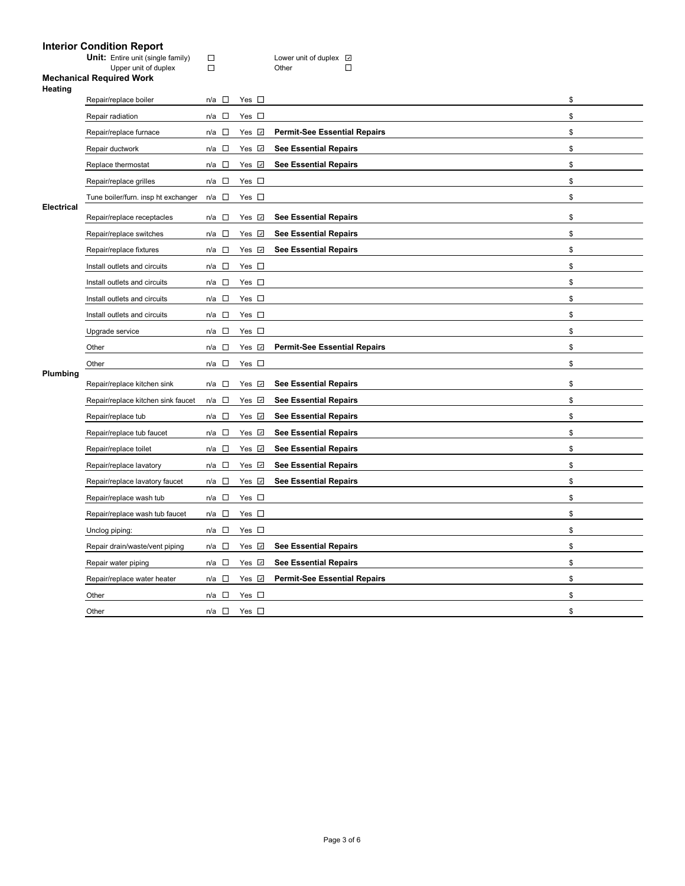# **Interior Condition Report**

| <b>Unit:</b> Entire unit (single family) | Lower |
|------------------------------------------|-------|
| Upper unit of duplex                     | Other |

Unit: Unit Computer unit of duplex<br>■ Unit Other Unit Of Disc  $\Box$ 

#### **Mechanical Required Work**

| Heating    |                                     |                 |               |                                     |    |
|------------|-------------------------------------|-----------------|---------------|-------------------------------------|----|
|            | Repair/replace boiler               | n/a $\square$   | Yes $\square$ |                                     | \$ |
|            | Repair radiation                    | $n/a$ $\square$ | Yes $\square$ |                                     | \$ |
|            | Repair/replace furnace              | $n/a$ $\square$ | Yes <b>⊽</b>  | <b>Permit-See Essential Repairs</b> | \$ |
|            | Repair ductwork                     | $\Box$<br>n/a   | Yes ⊻         | <b>See Essential Repairs</b>        | \$ |
|            | Replace thermostat                  | n/a             | Yes <b>√</b>  | <b>See Essential Repairs</b>        | \$ |
|            | Repair/replace grilles              | $n/a$ $\square$ | Yes $\square$ |                                     | \$ |
|            | Tune boiler/furn. insp ht exchanger | n/a □           | Yes $\square$ |                                     | \$ |
| Electrical | Repair/replace receptacles          | $\sim$<br>n/a   | Yes <b>√</b>  | <b>See Essential Repairs</b>        | \$ |
|            | Repair/replace switches             | $\Box$<br>n/a   | Yes <b>√</b>  | <b>See Essential Repairs</b>        | \$ |
|            | Repair/replace fixtures             | $n/a$ $\square$ | Yes √         | <b>See Essential Repairs</b>        | \$ |
|            | Install outlets and circuits        | $n/a$ $\square$ | Yes $\square$ |                                     | \$ |
|            | Install outlets and circuits        | $n/a$ $\square$ | Yes $\square$ |                                     | \$ |
|            | Install outlets and circuits        | $n/a$ $\square$ | Yes $\square$ |                                     | \$ |
|            | Install outlets and circuits        | $n/a$ $\square$ | Yes $\square$ |                                     | \$ |
|            | Upgrade service                     | $n/a$ $\square$ | Yes $\square$ |                                     | \$ |
|            | Other                               | $n/a$ $\square$ | Yes <b>√</b>  | <b>Permit-See Essential Repairs</b> | \$ |
|            | Other                               | $n/a$ $\square$ | Yes $\square$ |                                     | \$ |
| Plumbing   | Repair/replace kitchen sink         | $n/a$ $\square$ | Yes <b>√</b>  | <b>See Essential Repairs</b>        | \$ |
|            | Repair/replace kitchen sink faucet  | n/a $\square$   | Yes √         | <b>See Essential Repairs</b>        | \$ |
|            | Repair/replace tub                  | $n/a$ $\square$ | Yes √         | <b>See Essential Repairs</b>        | \$ |
|            | Repair/replace tub faucet           | $n/a$ $\square$ | Yes v         | <b>See Essential Repairs</b>        | \$ |
|            | Repair/replace toilet               | $n/a$ $\square$ | Yes <b>√</b>  | <b>See Essential Repairs</b>        | \$ |
|            | Repair/replace lavatory             | $n/a$ $\square$ | Yes v         | <b>See Essential Repairs</b>        | \$ |
|            | Repair/replace lavatory faucet      | $n/a$ $\square$ | Yes v         | <b>See Essential Repairs</b>        | \$ |
|            | Repair/replace wash tub             | $\Box$<br>n/a   | Yes $\square$ |                                     | \$ |
|            | Repair/replace wash tub faucet      | $n/a$ $\square$ | Yes $\square$ |                                     | \$ |
|            | Unclog piping:                      | n/a $\square$   | Yes $\square$ |                                     | \$ |
|            | Repair drain/waste/vent piping      | $n/a$ $\square$ | Yes v         | <b>See Essential Repairs</b>        | \$ |
|            | Repair water piping                 | n/a $\square$   | Yes v         | <b>See Essential Repairs</b>        | \$ |
|            | Repair/replace water heater         | $n/a$ $\square$ | Yes V         | <b>Permit-See Essential Repairs</b> | \$ |
|            | Other                               | $n/a$ $\square$ | Yes $\square$ |                                     | \$ |
|            | Other                               | n/a $\square$   | Yes $\square$ |                                     | \$ |
|            |                                     |                 |               |                                     |    |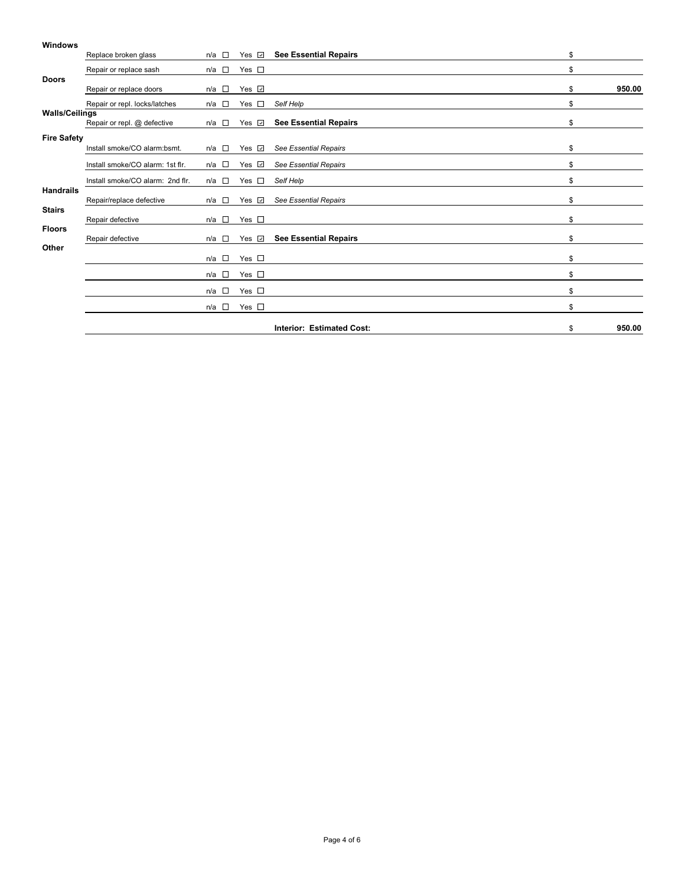#### **Windows**

|                       | Replace broken glass             | $n/a$ $\square$ | Yes $\sqrt{ }$ | <b>See Essential Repairs</b>     | \$           |
|-----------------------|----------------------------------|-----------------|----------------|----------------------------------|--------------|
|                       | Repair or replace sash           | $n/a$ $\square$ | Yes $\square$  |                                  | \$           |
| <b>Doors</b>          | Repair or replace doors          | $n/a$ $\square$ | Yes <b>☑</b>   |                                  | \$<br>950.00 |
|                       | Repair or repl. locks/latches    | n/a □           | Yes<br>$\sim$  | Self Help                        | \$           |
| <b>Walls/Ceilings</b> | Repair or repl. @ defective      | $n/a$ $\square$ | Yes $\sqrt{ }$ | <b>See Essential Repairs</b>     | \$           |
| <b>Fire Safety</b>    | Install smoke/CO alarm:bsmt.     | $n/a$ $\square$ | Yes $\sqrt{2}$ | <b>See Essential Repairs</b>     | \$           |
|                       | Install smoke/CO alarm: 1st flr. | $n/a$ $\square$ | Yes $\sqrt{2}$ | See Essential Repairs            | \$           |
|                       | Install smoke/CO alarm: 2nd flr. | $n/a$ $\square$ | Yes<br>$\sim$  | Self Help                        | \$           |
| <b>Handrails</b>      | Repair/replace defective         | $n/a$ $\square$ | Yes $\sqrt{2}$ | <b>See Essential Repairs</b>     | \$           |
| <b>Stairs</b>         | Repair defective                 | n/a $\square$   | Yes $\square$  |                                  | \$           |
| <b>Floors</b>         | Repair defective                 | $n/a$ $\square$ | Yes $\sqrt{ }$ | <b>See Essential Repairs</b>     | \$           |
| Other                 |                                  | $n/a$ $\square$ | Yes $\square$  |                                  | \$           |
|                       |                                  | $n/a$ $\square$ | Yes $\square$  |                                  | \$           |
|                       |                                  | $n/a$ $\square$ | Yes $\square$  |                                  | \$           |
|                       |                                  | $n/a$ $\square$ | Yes $\square$  |                                  | \$           |
|                       |                                  |                 |                | <b>Interior: Estimated Cost:</b> | \$<br>950.00 |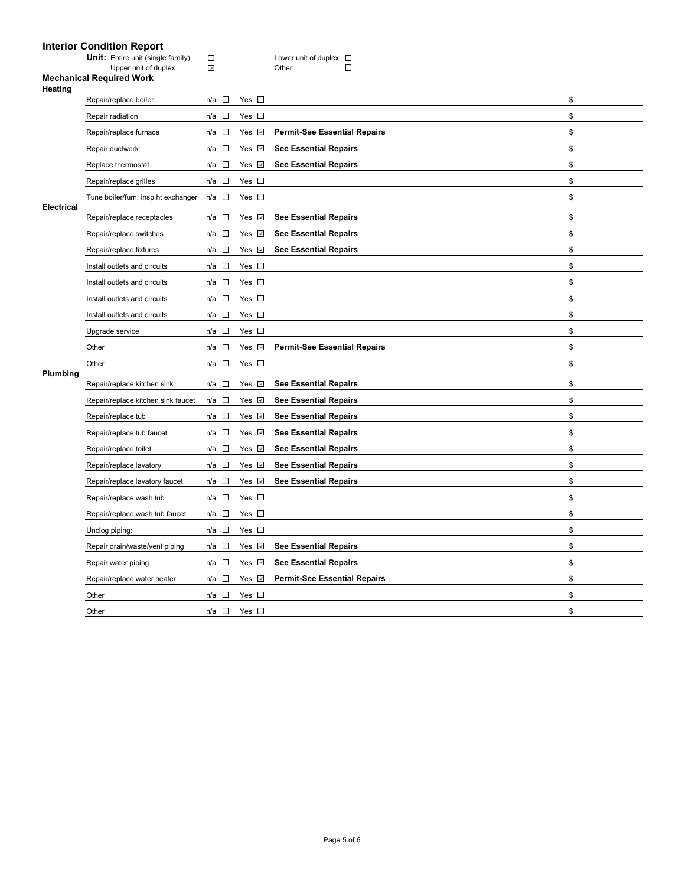# **Interior Condition Report**

| <b>Unit:</b> Entire unit (single family) | Lower |
|------------------------------------------|-------|
| Upper unit of duplex                     | Other |

Unit: Unit Computer unit of duplex<br>■ Unit of duplex<br>■ Unit Other Unit Of D  $\Box$ 

#### **Mechanical Required Work**

| Heating    | Repair/replace boiler               | $n/a$ $\square$ | Yes $\square$      |                                     | \$ |
|------------|-------------------------------------|-----------------|--------------------|-------------------------------------|----|
|            | Repair radiation                    | n/a □           | Yes $\square$      |                                     | \$ |
|            | Repair/replace furnace              | $n/a$ $\square$ | Yes <b>☑</b>       | <b>Permit-See Essential Repairs</b> | \$ |
|            | Repair ductwork                     | $n/a$ $\square$ | Yes $\sqrt{ }$     | <b>See Essential Repairs</b>        | \$ |
|            | Replace thermostat                  | $n/a$ $\square$ | Yes <b>☑</b>       | <b>See Essential Repairs</b>        | \$ |
|            |                                     | $n/a$ $\square$ | Yes $\square$      |                                     | \$ |
|            | Repair/replace grilles              |                 |                    |                                     |    |
| Electrical | Tune boiler/furn. insp ht exchanger | $n/a$ $\square$ | Yes $\square$      |                                     | \$ |
|            | Repair/replace receptacles          | n/a □           | Yes $\sqrt{ }$     | <b>See Essential Repairs</b>        | \$ |
|            | Repair/replace switches             | n/a $\square$   | Yes <b>☑</b>       | <b>See Essential Repairs</b>        | \$ |
|            | Repair/replace fixtures             | $n/a$ $\square$ | Yes $\overline{v}$ | <b>See Essential Repairs</b>        | \$ |
|            | Install outlets and circuits        | $n/a$ $\square$ | Yes $\square$      |                                     | \$ |
|            | Install outlets and circuits        | $n/a$ $\square$ | Yes $\square$      |                                     | \$ |
|            | Install outlets and circuits        | $n/a$ $\square$ | Yes $\square$      |                                     | \$ |
|            | Install outlets and circuits        | n/a $\square$   | Yes $\square$      |                                     | \$ |
|            | Upgrade service                     | $n/a$ $\square$ | Yes $\square$      |                                     | \$ |
|            | Other                               | $n/a$ $\square$ | Yes <b>☑</b>       | <b>Permit-See Essential Repairs</b> | \$ |
|            | Other                               | $n/a$ $\square$ | Yes $\square$      |                                     | \$ |
| Plumbing   | Repair/replace kitchen sink         | $n/a$ $\square$ | Yes $\overline{v}$ | <b>See Essential Repairs</b>        | \$ |
|            | Repair/replace kitchen sink faucet  | $n/a$ $\square$ | Yes ⊡              | <b>See Essential Repairs</b>        | \$ |
|            | Repair/replace tub                  | $n/a$ $\square$ | Yes V              | <b>See Essential Repairs</b>        | \$ |
|            | Repair/replace tub faucet           | $n/a$ $\square$ | Yes <b>☑</b>       | <b>See Essential Repairs</b>        | \$ |
|            | Repair/replace toilet               | $n/a$ $\square$ | Yes <b>☑</b>       | <b>See Essential Repairs</b>        | \$ |
|            | Repair/replace lavatory             | $n/a$ $\square$ | Yes M              | <b>See Essential Repairs</b>        | \$ |
|            | Repair/replace lavatory faucet      | $n/a$ $\square$ | Yes V              | <b>See Essential Repairs</b>        | \$ |
|            | Repair/replace wash tub             | $n/a$ $\square$ | Yes $\square$      |                                     | \$ |
|            | Repair/replace wash tub faucet      | n/a $\square$   | Yes $\square$      |                                     | \$ |
|            | Unclog piping:                      | $n/a$ $\square$ | Yes $\square$      |                                     | \$ |
|            | Repair drain/waste/vent piping      | $n/a$ $\square$ | Yes <b>☑</b>       | <b>See Essential Repairs</b>        | \$ |
|            | Repair water piping                 | $n/a$ $\square$ | Yes $\Box$         | <b>See Essential Repairs</b>        | \$ |
|            | Repair/replace water heater         | $n/a$ $\square$ | Yes Z              | <b>Permit-See Essential Repairs</b> | \$ |
|            | Other                               | $n/a$ $\square$ | Yes $\square$      |                                     | \$ |
|            | Other                               | n/a □           | Yes $\square$      |                                     | \$ |
|            |                                     |                 |                    |                                     |    |